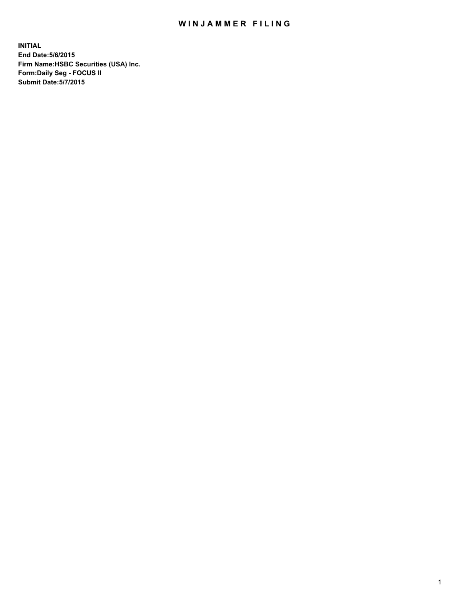## WIN JAMMER FILING

**INITIAL End Date:5/6/2015 Firm Name:HSBC Securities (USA) Inc. Form:Daily Seg - FOCUS II Submit Date:5/7/2015**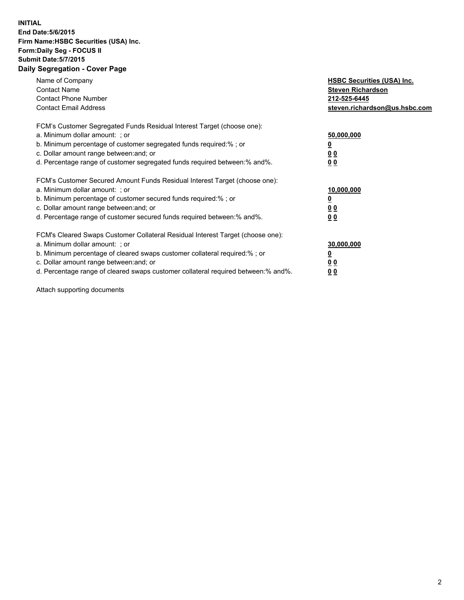## **INITIAL End Date:5/6/2015 Firm Name:HSBC Securities (USA) Inc. Form:Daily Seg - FOCUS II Submit Date:5/7/2015 Daily Segregation - Cover Page**

| Name of Company<br><b>Contact Name</b><br><b>Contact Phone Number</b><br><b>Contact Email Address</b>                                                                                                                                                                                                                         | <b>HSBC Securities (USA) Inc.</b><br><b>Steven Richardson</b><br>212-525-6445<br>steven.richardson@us.hsbc.com |
|-------------------------------------------------------------------------------------------------------------------------------------------------------------------------------------------------------------------------------------------------------------------------------------------------------------------------------|----------------------------------------------------------------------------------------------------------------|
| FCM's Customer Segregated Funds Residual Interest Target (choose one):<br>a. Minimum dollar amount: ; or<br>b. Minimum percentage of customer segregated funds required:% ; or<br>c. Dollar amount range between: and; or<br>d. Percentage range of customer segregated funds required between: % and %.                      | 50,000,000<br>0 <sub>0</sub><br>00                                                                             |
| FCM's Customer Secured Amount Funds Residual Interest Target (choose one):<br>a. Minimum dollar amount: ; or<br>b. Minimum percentage of customer secured funds required:%; or<br>c. Dollar amount range between: and; or<br>d. Percentage range of customer secured funds required between: % and %.                         | 10,000,000<br>00<br>00                                                                                         |
| FCM's Cleared Swaps Customer Collateral Residual Interest Target (choose one):<br>a. Minimum dollar amount: ; or<br>b. Minimum percentage of cleared swaps customer collateral required:%; or<br>c. Dollar amount range between: and; or<br>d. Percentage range of cleared swaps customer collateral required between:% and%. | 30,000,000<br>0 <sub>0</sub><br>00                                                                             |

Attach supporting documents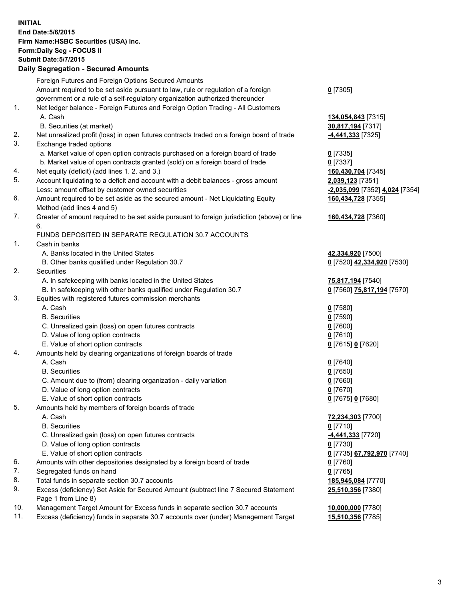**INITIAL End Date:5/6/2015 Firm Name:HSBC Securities (USA) Inc. Form:Daily Seg - FOCUS II Submit Date:5/7/2015 Daily Segregation - Secured Amounts** Foreign Futures and Foreign Options Secured Amounts Amount required to be set aside pursuant to law, rule or regulation of a foreign government or a rule of a self-regulatory organization authorized thereunder **0** [7305] 1. Net ledger balance - Foreign Futures and Foreign Option Trading - All Customers A. Cash **134,054,843** [7315] B. Securities (at market) **30,817,194** [7317] 2. Net unrealized profit (loss) in open futures contracts traded on a foreign board of trade **-4,441,333** [7325] 3. Exchange traded options a. Market value of open option contracts purchased on a foreign board of trade **0** [7335] b. Market value of open contracts granted (sold) on a foreign board of trade **0** [7337] 4. Net equity (deficit) (add lines 1. 2. and 3.) **160,430,704** [7345] 5. Account liquidating to a deficit and account with a debit balances - gross amount **2,039,123** [7351] Less: amount offset by customer owned securities **-2,035,099** [7352] **4,024** [7354] 6. Amount required to be set aside as the secured amount - Net Liquidating Equity Method (add lines 4 and 5) **160,434,728** [7355] 7. Greater of amount required to be set aside pursuant to foreign jurisdiction (above) or line 6. **160,434,728** [7360] FUNDS DEPOSITED IN SEPARATE REGULATION 30.7 ACCOUNTS 1. Cash in banks A. Banks located in the United States **42,334,920** [7500] B. Other banks qualified under Regulation 30.7 **0** [7520] **42,334,920** [7530] 2. Securities A. In safekeeping with banks located in the United States **75,817,194** [7540] B. In safekeeping with other banks qualified under Regulation 30.7 **0** [7560] **75,817,194** [7570] 3. Equities with registered futures commission merchants A. Cash **0** [7580] B. Securities **0** [7590] C. Unrealized gain (loss) on open futures contracts **0** [7600] D. Value of long option contracts **0** [7610] E. Value of short option contracts **0** [7615] **0** [7620] 4. Amounts held by clearing organizations of foreign boards of trade A. Cash **0** [7640] B. Securities **0** [7650] C. Amount due to (from) clearing organization - daily variation **0** [7660] D. Value of long option contracts **0** [7670] E. Value of short option contracts **0** [7675] **0** [7680] 5. Amounts held by members of foreign boards of trade A. Cash **72,234,303** [7700] B. Securities **0** [7710] C. Unrealized gain (loss) on open futures contracts **-4,441,333** [7720] D. Value of long option contracts **0** [7730] E. Value of short option contracts **0** [7735] **67,792,970** [7740] 6. Amounts with other depositories designated by a foreign board of trade **0** [7760] 7. Segregated funds on hand **0** [7765] 8. Total funds in separate section 30.7 accounts **185,945,084** [7770] 9. Excess (deficiency) Set Aside for Secured Amount (subtract line 7 Secured Statement Page 1 from Line 8) **25,510,356** [7380] 10. Management Target Amount for Excess funds in separate section 30.7 accounts **10,000,000** [7780] 11. Excess (deficiency) funds in separate 30.7 accounts over (under) Management Target **15,510,356** [7785]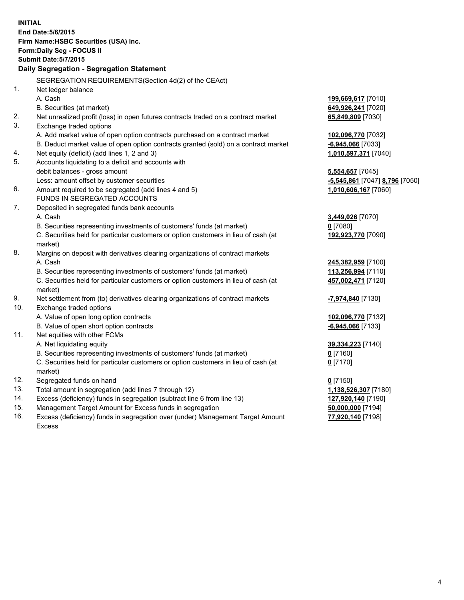| <b>INITIAL</b>                        | End Date: 5/6/2015                                                                             |                                |  |  |  |  |
|---------------------------------------|------------------------------------------------------------------------------------------------|--------------------------------|--|--|--|--|
| Firm Name: HSBC Securities (USA) Inc. |                                                                                                |                                |  |  |  |  |
| Form: Daily Seg - FOCUS II            |                                                                                                |                                |  |  |  |  |
| <b>Submit Date: 5/7/2015</b>          |                                                                                                |                                |  |  |  |  |
|                                       | Daily Segregation - Segregation Statement                                                      |                                |  |  |  |  |
|                                       | SEGREGATION REQUIREMENTS(Section 4d(2) of the CEAct)                                           |                                |  |  |  |  |
| 1.                                    | Net ledger balance                                                                             |                                |  |  |  |  |
|                                       | A. Cash                                                                                        | 199,669,617 [7010]             |  |  |  |  |
|                                       | B. Securities (at market)                                                                      | 649,926,241 [7020]             |  |  |  |  |
| 2.                                    | Net unrealized profit (loss) in open futures contracts traded on a contract market             | 65,849,809 [7030]              |  |  |  |  |
| 3.                                    | Exchange traded options                                                                        |                                |  |  |  |  |
|                                       | A. Add market value of open option contracts purchased on a contract market                    | 102,096,770 [7032]             |  |  |  |  |
|                                       | B. Deduct market value of open option contracts granted (sold) on a contract market            | $-6,945,066$ [7033]            |  |  |  |  |
| 4.                                    | Net equity (deficit) (add lines 1, 2 and 3)                                                    | 1,010,597,371 [7040]           |  |  |  |  |
| 5.                                    | Accounts liquidating to a deficit and accounts with                                            |                                |  |  |  |  |
|                                       | debit balances - gross amount                                                                  | 5,554,657 [7045]               |  |  |  |  |
|                                       | Less: amount offset by customer securities                                                     | -5,545,861 [7047] 8,796 [7050] |  |  |  |  |
| 6.                                    | Amount required to be segregated (add lines 4 and 5)                                           | 1,010,606,167 [7060]           |  |  |  |  |
|                                       | FUNDS IN SEGREGATED ACCOUNTS                                                                   |                                |  |  |  |  |
| 7.                                    | Deposited in segregated funds bank accounts                                                    |                                |  |  |  |  |
|                                       | A. Cash                                                                                        | 3,449,026 [7070]               |  |  |  |  |
|                                       | B. Securities representing investments of customers' funds (at market)                         | $0$ [7080]                     |  |  |  |  |
|                                       | C. Securities held for particular customers or option customers in lieu of cash (at<br>market) | 192,923,770 [7090]             |  |  |  |  |
| 8.                                    | Margins on deposit with derivatives clearing organizations of contract markets                 |                                |  |  |  |  |
|                                       | A. Cash                                                                                        | 245,382,959 [7100]             |  |  |  |  |
|                                       | B. Securities representing investments of customers' funds (at market)                         | 113,256,994 [7110]             |  |  |  |  |
|                                       | C. Securities held for particular customers or option customers in lieu of cash (at<br>market) | 457,002,471 [7120]             |  |  |  |  |
| 9.                                    | Net settlement from (to) derivatives clearing organizations of contract markets                | -7,974,840 [7130]              |  |  |  |  |
| 10.                                   | Exchange traded options                                                                        |                                |  |  |  |  |
|                                       | A. Value of open long option contracts                                                         | 102,096,770 [7132]             |  |  |  |  |
|                                       | B. Value of open short option contracts                                                        | $-6,945,066$ [7133]            |  |  |  |  |
| 11.                                   | Net equities with other FCMs                                                                   |                                |  |  |  |  |
|                                       | A. Net liquidating equity                                                                      | 39,334,223 [7140]              |  |  |  |  |
|                                       | B. Securities representing investments of customers' funds (at market)                         | $0$ [7160]                     |  |  |  |  |
|                                       | C. Securities held for particular customers or option customers in lieu of cash (at            | $0$ [7170]                     |  |  |  |  |
|                                       | market)                                                                                        |                                |  |  |  |  |
| 12.                                   | Segregated funds on hand                                                                       | $0$ [7150]                     |  |  |  |  |
| 13.                                   | Total amount in segregation (add lines 7 through 12)                                           | 1,138,526,307 [7180]           |  |  |  |  |
| 14.                                   | Excess (deficiency) funds in segregation (subtract line 6 from line 13)                        | 127,920,140 [7190]             |  |  |  |  |
| 15.                                   | Management Target Amount for Excess funds in segregation                                       | 50,000,000 [7194]              |  |  |  |  |

16. Excess (deficiency) funds in segregation over (under) Management Target Amount Excess

**77,920,140** [7198]